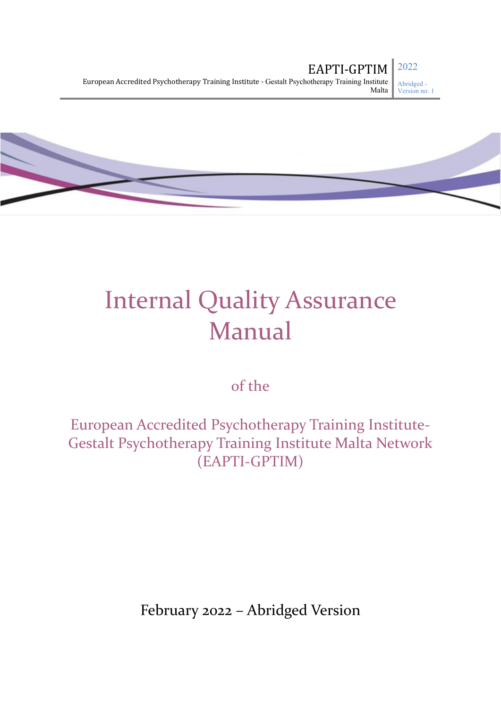

of the

European Accredited Psychotherapy Training Institute-Gestalt Psychotherapy Training Institute Malta Network (EAPTI-GPTIM)

February 2022 – Abridged Version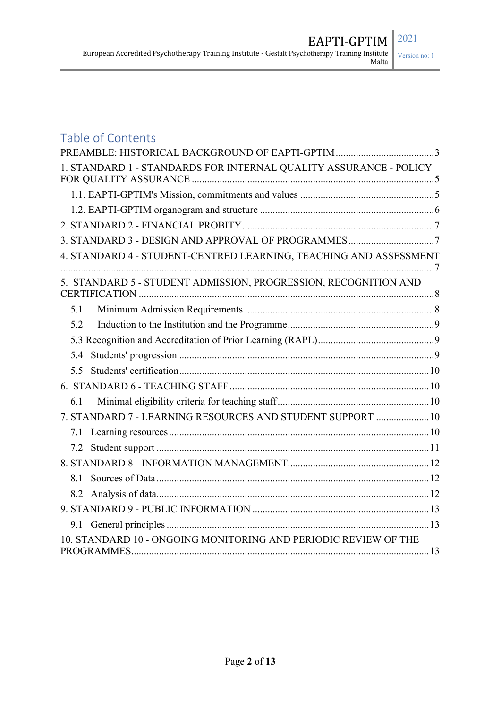# Version no: 1

# Table of Contents

| 1. STANDARD 1 - STANDARDS FOR INTERNAL QUALITY ASSURANCE - POLICY |  |
|-------------------------------------------------------------------|--|
|                                                                   |  |
|                                                                   |  |
|                                                                   |  |
| 3. STANDARD 3 - DESIGN AND APPROVAL OF PROGRAMMES7                |  |
| 4. STANDARD 4 - STUDENT-CENTRED LEARNING, TEACHING AND ASSESSMENT |  |
| 5. STANDARD 5 - STUDENT ADMISSION, PROGRESSION, RECOGNITION AND   |  |
| 5.1                                                               |  |
| 5.2                                                               |  |
|                                                                   |  |
| 5.4                                                               |  |
| 5.5                                                               |  |
|                                                                   |  |
| 6.1                                                               |  |
| 7. STANDARD 7 - LEARNING RESOURCES AND STUDENT SUPPORT  10        |  |
| 7.1                                                               |  |
| 7.2                                                               |  |
|                                                                   |  |
| 8.1                                                               |  |
| 8.2                                                               |  |
|                                                                   |  |
|                                                                   |  |
| 10. STANDARD 10 - ONGOING MONITORING AND PERIODIC REVIEW OF THE   |  |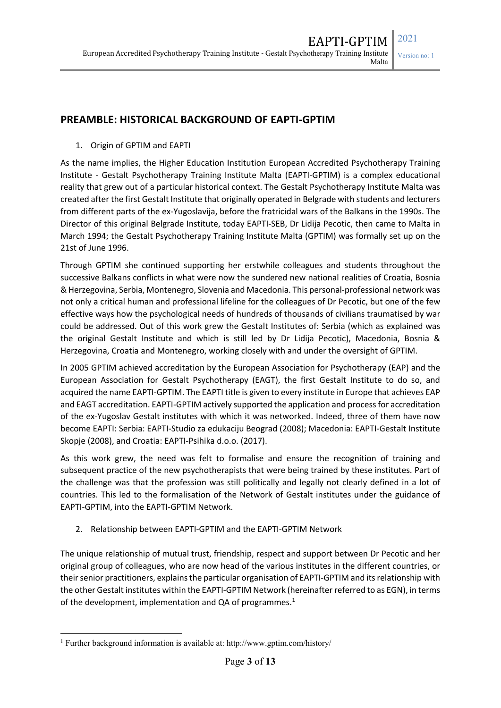### **PREAMBLE: HISTORICAL BACKGROUND OF EAPTI-GPTIM**

1. Origin of GPTIM and EAPTI

As the name implies, the Higher Education Institution European Accredited Psychotherapy Training Institute - Gestalt Psychotherapy Training Institute Malta (EAPTI-GPTIM) is a complex educational reality that grew out of a particular historical context. The Gestalt Psychotherapy Institute Malta was created after the first Gestalt Institute that originally operated in Belgrade with students and lecturers from different parts of the ex-Yugoslavija, before the fratricidal wars of the Balkans in the 1990s. The Director of this original Belgrade Institute, today EAPTI-SEB, Dr Lidija Pecotic, then came to Malta in March 1994; the Gestalt Psychotherapy Training Institute Malta (GPTIM) was formally set up on the 21st of June 1996.

Through GPTIM she continued supporting her erstwhile colleagues and students throughout the successive Balkans conflicts in what were now the sundered new national realities of Croatia, Bosnia & Herzegovina, Serbia, Montenegro, Slovenia and Macedonia. This personal-professional network was not only a critical human and professional lifeline for the colleagues of Dr Pecotic, but one of the few effective ways how the psychological needs of hundreds of thousands of civilians traumatised by war could be addressed. Out of this work grew the Gestalt Institutes of: Serbia (which as explained was the original Gestalt Institute and which is still led by Dr Lidija Pecotic), Macedonia, Bosnia & Herzegovina, Croatia and Montenegro, working closely with and under the oversight of GPTIM.

In 2005 GPTIM achieved accreditation by the European Association for Psychotherapy (EAP) and the European Association for Gestalt Psychotherapy (EAGT), the first Gestalt Institute to do so, and acquired the name EAPTI-GPTIM. The EAPTI title is given to every institute in Europe that achieves EAP and EAGT accreditation. EAPTI-GPTIM actively supported the application and process for accreditation of the ex-Yugoslav Gestalt institutes with which it was networked. Indeed, three of them have now become EAPTI: Serbia: EAPTI-Studio za edukaciju Beograd (2008); Macedonia: EAPTI-Gestalt Institute Skopje (2008), and Croatia: EAPTI-Psihika d.o.o. (2017).

As this work grew, the need was felt to formalise and ensure the recognition of training and subsequent practice of the new psychotherapists that were being trained by these institutes. Part of the challenge was that the profession was still politically and legally not clearly defined in a lot of countries. This led to the formalisation of the Network of Gestalt institutes under the guidance of EAPTI-GPTIM, into the EAPTI-GPTIM Network.

2. Relationship between EAPTI-GPTIM and the EAPTI-GPTIM Network

The unique relationship of mutual trust, friendship, respect and support between Dr Pecotic and her original group of colleagues, who are now head of the various institutes in the different countries, or their senior practitioners, explains the particular organisation of EAPTI-GPTIM and its relationship with the other Gestalt institutes within the EAPTI-GPTIM Network (hereinafter referred to as EGN), in terms of the development, implementation and QA of programmes.<sup>1</sup>

 <sup>1</sup> Further background information is available at: http://www.gptim.com/history/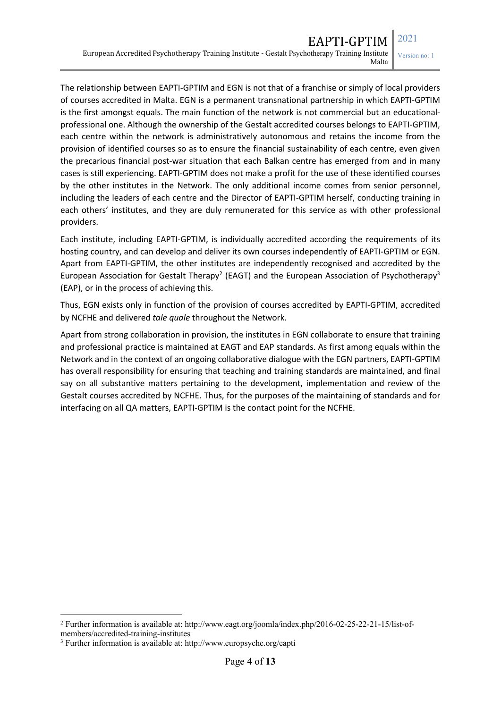Version no: 1

The relationship between EAPTI-GPTIM and EGN is not that of a franchise or simply of local providers of courses accredited in Malta. EGN is a permanent transnational partnership in which EAPTI-GPTIM is the first amongst equals. The main function of the network is not commercial but an educationalprofessional one. Although the ownership of the Gestalt accredited courses belongs to EAPTI-GPTIM, each centre within the network is administratively autonomous and retains the income from the provision of identified courses so as to ensure the financial sustainability of each centre, even given the precarious financial post-war situation that each Balkan centre has emerged from and in many cases is still experiencing. EAPTI-GPTIM does not make a profit for the use of these identified courses by the other institutes in the Network. The only additional income comes from senior personnel, including the leaders of each centre and the Director of EAPTI-GPTIM herself, conducting training in each others' institutes, and they are duly remunerated for this service as with other professional providers.

Each institute, including EAPTI-GPTIM, is individually accredited according the requirements of its hosting country, and can develop and deliver its own courses independently of EAPTI-GPTIM or EGN. Apart from EAPTI-GPTIM, the other institutes are independently recognised and accredited by the European Association for Gestalt Therapy<sup>2</sup> (EAGT) and the European Association of Psychotherapy<sup>3</sup> (EAP), or in the process of achieving this.

Thus, EGN exists only in function of the provision of courses accredited by EAPTI-GPTIM, accredited by NCFHE and delivered *tale quale* throughout the Network.

Apart from strong collaboration in provision, the institutes in EGN collaborate to ensure that training and professional practice is maintained at EAGT and EAP standards. As first among equals within the Network and in the context of an ongoing collaborative dialogue with the EGN partners, EAPTI-GPTIM has overall responsibility for ensuring that teaching and training standards are maintained, and final say on all substantive matters pertaining to the development, implementation and review of the Gestalt courses accredited by NCFHE. Thus, for the purposes of the maintaining of standards and for interfacing on all QA matters, EAPTI-GPTIM is the contact point for the NCFHE.

 <sup>2</sup> Further information is available at: http://www.eagt.org/joomla/index.php/2016-02-25-22-21-15/list-ofmembers/accredited-training-institutes

<sup>3</sup> Further information is available at: http://www.europsyche.org/eapti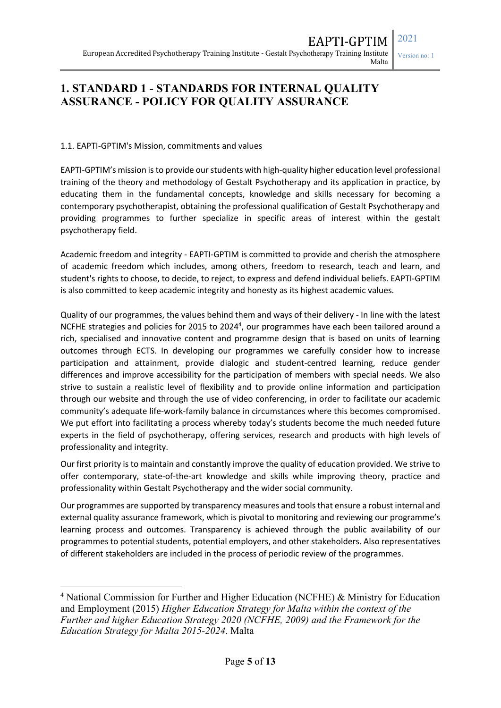Version no: 1

### **1. STANDARD 1 - STANDARDS FOR INTERNAL QUALITY ASSURANCE - POLICY FOR QUALITY ASSURANCE**

#### 1.1. EAPTI-GPTIM's Mission, commitments and values

EAPTI-GPTIM's mission is to provide our students with high-quality higher education level professional training of the theory and methodology of Gestalt Psychotherapy and its application in practice, by educating them in the fundamental concepts, knowledge and skills necessary for becoming a contemporary psychotherapist, obtaining the professional qualification of Gestalt Psychotherapy and providing programmes to further specialize in specific areas of interest within the gestalt psychotherapy field.

Academic freedom and integrity - EAPTI-GPTIM is committed to provide and cherish the atmosphere of academic freedom which includes, among others, freedom to research, teach and learn, and student's rights to choose, to decide, to reject, to express and defend individual beliefs. EAPTI-GPTIM is also committed to keep academic integrity and honesty as its highest academic values.

Quality of our programmes, the values behind them and ways of their delivery - In line with the latest NCFHE strategies and policies for 2015 to 2024<sup>4</sup>, our programmes have each been tailored around a rich, specialised and innovative content and programme design that is based on units of learning outcomes through ECTS. In developing our programmes we carefully consider how to increase participation and attainment, provide dialogic and student-centred learning, reduce gender differences and improve accessibility for the participation of members with special needs. We also strive to sustain a realistic level of flexibility and to provide online information and participation through our website and through the use of video conferencing, in order to facilitate our academic community's adequate life-work-family balance in circumstances where this becomes compromised. We put effort into facilitating a process whereby today's students become the much needed future experts in the field of psychotherapy, offering services, research and products with high levels of professionality and integrity.

Our first priority is to maintain and constantly improve the quality of education provided. We strive to offer contemporary, state-of-the-art knowledge and skills while improving theory, practice and professionality within Gestalt Psychotherapy and the wider social community.

Our programmes are supported by transparency measures and tools that ensure a robust internal and external quality assurance framework, which is pivotal to monitoring and reviewing our programme's learning process and outcomes. Transparency is achieved through the public availability of our programmes to potential students, potential employers, and other stakeholders. Also representatives of different stakeholders are included in the process of periodic review of the programmes.

 <sup>4</sup> National Commission for Further and Higher Education (NCFHE) & Ministry for Education and Employment (2015) *Higher Education Strategy for Malta within the context of the Further and higher Education Strategy 2020 (NCFHE, 2009) and the Framework for the Education Strategy for Malta 2015-2024*. Malta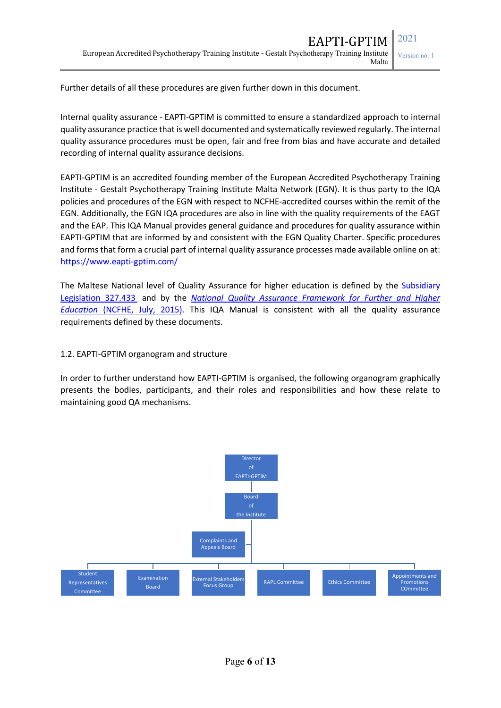Further details of all these procedures are given further down in this document.

Internal quality assurance - EAPTI-GPTIM is committed to ensure a standardized approach to internal quality assurance practice that is well documented and systematically reviewed regularly. The internal quality assurance procedures must be open, fair and free from bias and have accurate and detailed recording of internal quality assurance decisions.

EAPTI-GPTIM is an accredited founding member of the European Accredited Psychotherapy Training Institute - Gestalt Psychotherapy Training Institute Malta Network (EGN). It is thus party to the IQA policies and procedures of the EGN with respect to NCFHE-accredited courses within the remit of the EGN. Additionally, the EGN IQA procedures are also in line with the quality requirements of the EAGT and the EAP. This IQA Manual provides general guidance and procedures for quality assurance within EAPTI-GPTIM that are informed by and consistent with the EGN Quality Charter. Specific procedures and forms that form a crucial part of internal quality assurance processes made available online on at: https://www.eapti-gptim.com/

The Maltese National level of Quality Assurance for higher education is defined by the Subsidiary Legislation 327.433 and by the *National Quality Assurance Framework for Further and Higher Education* (NCFHE, July, 2015). This IQA Manual is consistent with all the quality assurance requirements defined by these documents.

### 1.2. EAPTI-GPTIM organogram and structure

In order to further understand how EAPTI-GPTIM is organised, the following organogram graphically presents the bodies, participants, and their roles and responsibilities and how these relate to maintaining good QA mechanisms.

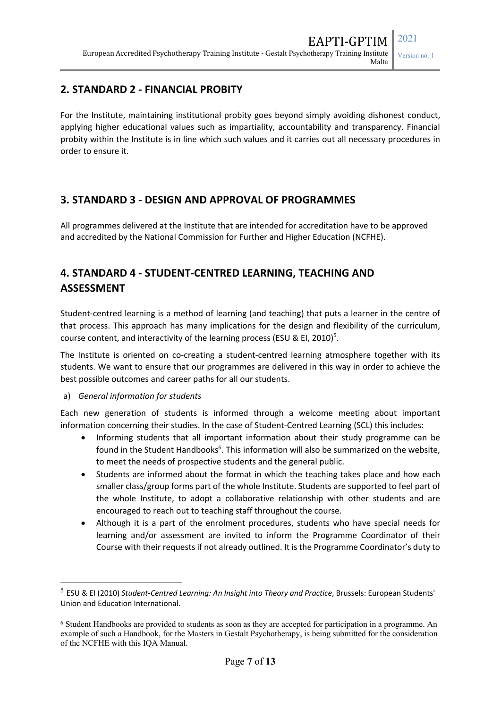### **2. STANDARD 2 - FINANCIAL PROBITY**

For the Institute, maintaining institutional probity goes beyond simply avoiding dishonest conduct, applying higher educational values such as impartiality, accountability and transparency. Financial probity within the Institute is in line which such values and it carries out all necessary procedures in order to ensure it.

### **3. STANDARD 3 - DESIGN AND APPROVAL OF PROGRAMMES**

All programmes delivered at the Institute that are intended for accreditation have to be approved and accredited by the National Commission for Further and Higher Education (NCFHE).

# **4. STANDARD 4 - STUDENT-CENTRED LEARNING, TEACHING AND ASSESSMENT**

Student-centred learning is a method of learning (and teaching) that puts a learner in the centre of that process. This approach has many implications for the design and flexibility of the curriculum, course content, and interactivity of the learning process (ESU & EI, 2010)<sup>5</sup>.

The Institute is oriented on co-creating a student-centred learning atmosphere together with its students. We want to ensure that our programmes are delivered in this way in order to achieve the best possible outcomes and career paths for all our students.

#### a) *General information for students*

Each new generation of students is informed through a welcome meeting about important information concerning their studies. In the case of Student-Centred Learning (SCL) this includes:

- Informing students that all important information about their study programme can be found in the Student Handbooks<sup>6</sup>. This information will also be summarized on the website, to meet the needs of prospective students and the general public.
- Students are informed about the format in which the teaching takes place and how each smaller class/group forms part of the whole Institute. Students are supported to feel part of the whole Institute, to adopt a collaborative relationship with other students and are encouraged to reach out to teaching staff throughout the course.
- Although it is a part of the enrolment procedures, students who have special needs for learning and/or assessment are invited to inform the Programme Coordinator of their Course with their requests if not already outlined. It is the Programme Coordinator's duty to

 <sup>5</sup> ESU & EI (2010) *Student-Centred Learning: An Insight into Theory and Practice*, Brussels: European Students' Union and Education International.

<sup>6</sup> Student Handbooks are provided to students as soon as they are accepted for participation in a programme. An example of such a Handbook, for the Masters in Gestalt Psychotherapy, is being submitted for the consideration of the NCFHE with this IQA Manual.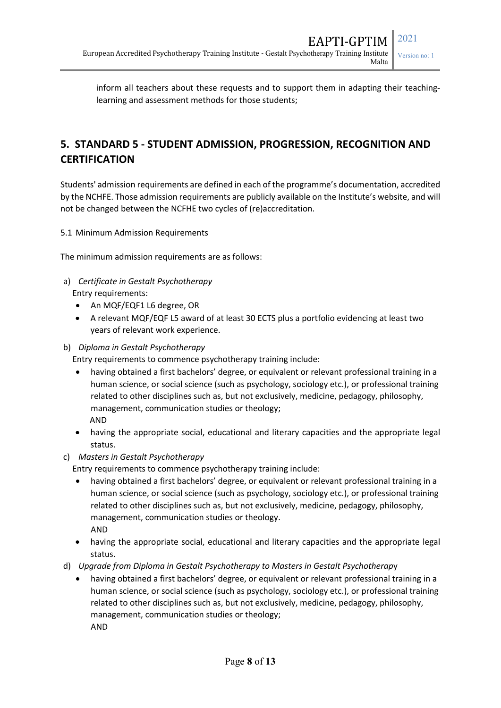inform all teachers about these requests and to support them in adapting their teachinglearning and assessment methods for those students;

# **5. STANDARD 5 - STUDENT ADMISSION, PROGRESSION, RECOGNITION AND CERTIFICATION**

Students' admission requirements are defined in each of the programme's documentation, accredited by the NCHFE. Those admission requirements are publicly available on the Institute's website, and will not be changed between the NCFHE two cycles of (re)accreditation.

5.1 Minimum Admission Requirements

The minimum admission requirements are as follows:

- a) *Certificate in Gestalt Psychotherapy*  Entry requirements:
	- An MQF/EQF1 L6 degree, OR
	- A relevant MQF/EQF L5 award of at least 30 ECTS plus a portfolio evidencing at least two years of relevant work experience.
- b) *Diploma in Gestalt Psychotherapy*

Entry requirements to commence psychotherapy training include:

- having obtained a first bachelors' degree, or equivalent or relevant professional training in a human science, or social science (such as psychology, sociology etc.), or professional training related to other disciplines such as, but not exclusively, medicine, pedagogy, philosophy, management, communication studies or theology; AND
- having the appropriate social, educational and literary capacities and the appropriate legal status.
- c) *Masters in Gestalt Psychotherapy*

Entry requirements to commence psychotherapy training include:

- having obtained a first bachelors' degree, or equivalent or relevant professional training in a human science, or social science (such as psychology, sociology etc.), or professional training related to other disciplines such as, but not exclusively, medicine, pedagogy, philosophy, management, communication studies or theology. AND
- having the appropriate social, educational and literary capacities and the appropriate legal status.
- d) *Upgrade from Diploma in Gestalt Psychotherapy to Masters in Gestalt Psychotherap*y
	- having obtained a first bachelors' degree, or equivalent or relevant professional training in a human science, or social science (such as psychology, sociology etc.), or professional training related to other disciplines such as, but not exclusively, medicine, pedagogy, philosophy, management, communication studies or theology; AND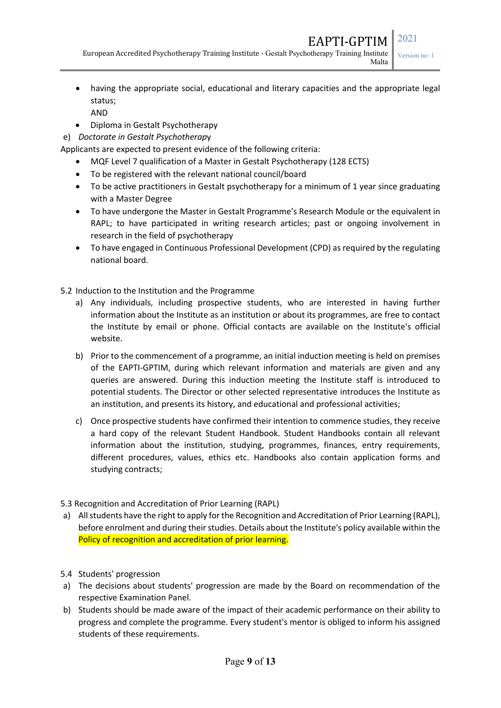European Accredited Psychotherapy Training Institute - Gestalt Psychotherapy Training Institute Malta

Version no: 1

- having the appropriate social, educational and literary capacities and the appropriate legal status; AND
- Diploma in Gestalt Psychotherapy
- e) *Doctorate in Gestalt Psychotherap*y

Applicants are expected to present evidence of the following criteria:

- MQF Level 7 qualification of a Master in Gestalt Psychotherapy (128 ECTS)
- To be registered with the relevant national council/board
- To be active practitioners in Gestalt psychotherapy for a minimum of 1 year since graduating with a Master Degree
- To have undergone the Master in Gestalt Programme's Research Module or the equivalent in RAPL; to have participated in writing research articles; past or ongoing involvement in research in the field of psychotherapy
- To have engaged in Continuous Professional Development (CPD) as required by the regulating national board.

5.2 Induction to the Institution and the Programme

- a) Any individuals, including prospective students, who are interested in having further information about the Institute as an institution or about its programmes, are free to contact the Institute by email or phone. Official contacts are available on the Institute's official website.
- b) Prior to the commencement of a programme, an initial induction meeting is held on premises of the EAPTI-GPTIM, during which relevant information and materials are given and any queries are answered. During this induction meeting the Institute staff is introduced to potential students. The Director or other selected representative introduces the Institute as an institution, and presents its history, and educational and professional activities;
- c) Once prospective students have confirmed their intention to commence studies, they receive a hard copy of the relevant Student Handbook. Student Handbooks contain all relevant information about the institution, studying, programmes, finances, entry requirements, different procedures, values, ethics etc. Handbooks also contain application forms and studying contracts;

#### 5.3 Recognition and Accreditation of Prior Learning (RAPL)

- a) All students have the right to apply for the Recognition and Accreditation of Prior Learning (RAPL), before enrolment and during their studies. Details about the Institute's policy available within the Policy of recognition and accreditation of prior learning.
- 5.4 Students' progression
- a) The decisions about students' progression are made by the Board on recommendation of the respective Examination Panel.
- b) Students should be made aware of the impact of their academic performance on their ability to progress and complete the programme. Every student's mentor is obliged to inform his assigned students of these requirements.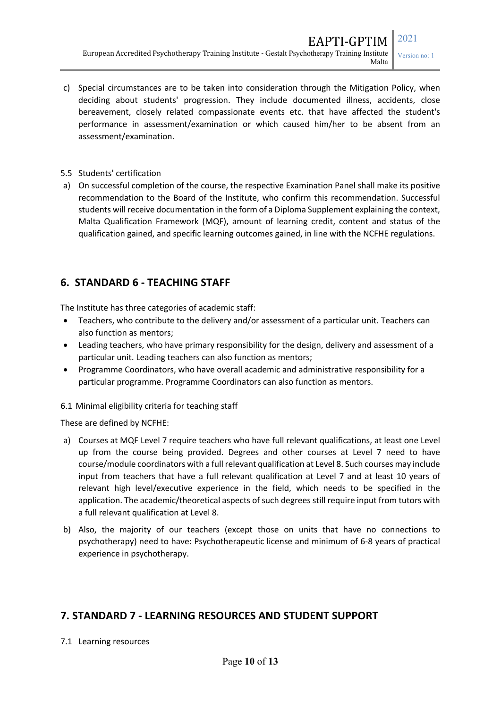- c) Special circumstances are to be taken into consideration through the Mitigation Policy, when deciding about students' progression. They include documented illness, accidents, close bereavement, closely related compassionate events etc. that have affected the student's performance in assessment/examination or which caused him/her to be absent from an assessment/examination.
- 5.5 Students' certification
- a) On successful completion of the course, the respective Examination Panel shall make its positive recommendation to the Board of the Institute, who confirm this recommendation. Successful students will receive documentation in the form of a Diploma Supplement explaining the context, Malta Qualification Framework (MQF), amount of learning credit, content and status of the qualification gained, and specific learning outcomes gained, in line with the NCFHE regulations.

### **6. STANDARD 6 - TEACHING STAFF**

The Institute has three categories of academic staff:

- Teachers, who contribute to the delivery and/or assessment of a particular unit. Teachers can also function as mentors;
- Leading teachers, who have primary responsibility for the design, delivery and assessment of a particular unit. Leading teachers can also function as mentors;
- Programme Coordinators, who have overall academic and administrative responsibility for a particular programme. Programme Coordinators can also function as mentors.

#### 6.1 Minimal eligibility criteria for teaching staff

These are defined by NCFHE:

- a) Courses at MQF Level 7 require teachers who have full relevant qualifications, at least one Level up from the course being provided. Degrees and other courses at Level 7 need to have course/module coordinators with a full relevant qualification at Level 8. Such courses may include input from teachers that have a full relevant qualification at Level 7 and at least 10 years of relevant high level/executive experience in the field, which needs to be specified in the application. The academic/theoretical aspects of such degrees still require input from tutors with a full relevant qualification at Level 8.
- b) Also, the majority of our teachers (except those on units that have no connections to psychotherapy) need to have: Psychotherapeutic license and minimum of 6-8 years of practical experience in psychotherapy.

#### **7. STANDARD 7 - LEARNING RESOURCES AND STUDENT SUPPORT**

#### 7.1 Learning resources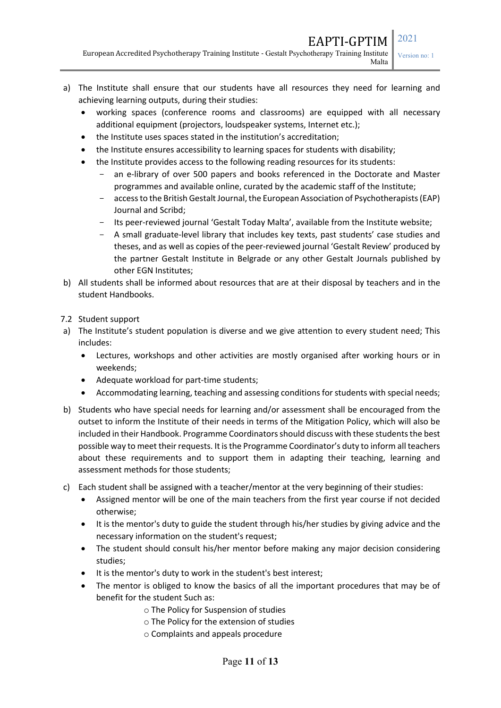EAPTI-GPTIM 2021

European Accredited Psychotherapy Training Institute - Gestalt Psychotherapy Training Institute Malta

- a) The Institute shall ensure that our students have all resources they need for learning and achieving learning outputs, during their studies:
	- working spaces (conference rooms and classrooms) are equipped with all necessary additional equipment (projectors, loudspeaker systems, Internet etc.);
	- the Institute uses spaces stated in the institution's accreditation;
	- the Institute ensures accessibility to learning spaces for students with disability;
	- the Institute provides access to the following reading resources for its students:
		- an e-library of over 500 papers and books referenced in the Doctorate and Master programmes and available online, curated by the academic staff of the Institute;
		- access to the British Gestalt Journal, the European Association of Psychotherapists (EAP) Journal and Scribd;
		- Its peer-reviewed journal 'Gestalt Today Malta', available from the Institute website;
		- A small graduate-level library that includes key texts, past students' case studies and theses, and as well as copies of the peer-reviewed journal 'Gestalt Review' produced by the partner Gestalt Institute in Belgrade or any other Gestalt Journals published by other EGN Institutes;
- b) All students shall be informed about resources that are at their disposal by teachers and in the student Handbooks.
- 7.2 Student support
- a) The Institute's student population is diverse and we give attention to every student need; This includes:
	- Lectures, workshops and other activities are mostly organised after working hours or in weekends;
	- Adequate workload for part-time students;
	- Accommodating learning, teaching and assessing conditions for students with special needs;
- b) Students who have special needs for learning and/or assessment shall be encouraged from the outset to inform the Institute of their needs in terms of the Mitigation Policy, which will also be included in their Handbook. Programme Coordinators should discuss with these students the best possible way to meet their requests. It is the Programme Coordinator's duty to inform all teachers about these requirements and to support them in adapting their teaching, learning and assessment methods for those students;
- c) Each student shall be assigned with a teacher/mentor at the very beginning of their studies:
	- Assigned mentor will be one of the main teachers from the first year course if not decided otherwise;
	- It is the mentor's duty to guide the student through his/her studies by giving advice and the necessary information on the student's request;
	- The student should consult his/her mentor before making any major decision considering studies;
	- It is the mentor's duty to work in the student's best interest;
	- The mentor is obliged to know the basics of all the important procedures that may be of benefit for the student Such as:
		- o The Policy for Suspension of studies
		- o The Policy for the extension of studies
		- o Complaints and appeals procedure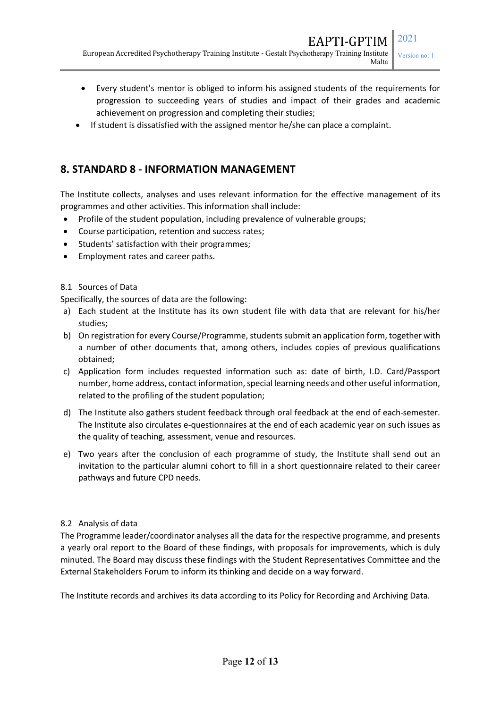- Every student's mentor is obliged to inform his assigned students of the requirements for progression to succeeding years of studies and impact of their grades and academic achievement on progression and completing their studies;
- If student is dissatisfied with the assigned mentor he/she can place a complaint.

### **8. STANDARD 8 - INFORMATION MANAGEMENT**

The Institute collects, analyses and uses relevant information for the effective management of its programmes and other activities. This information shall include:

- Profile of the student population, including prevalence of vulnerable groups;
- Course participation, retention and success rates;
- Students' satisfaction with their programmes;
- Employment rates and career paths.

#### 8.1 Sources of Data

Specifically, the sources of data are the following:

- a) Each student at the Institute has its own student file with data that are relevant for his/her studies;
- b) On registration for every Course/Programme, students submit an application form, together with a number of other documents that, among others, includes copies of previous qualifications obtained;
- c) Application form includes requested information such as: date of birth, I.D. Card/Passport number, home address, contact information, special learning needs and other useful information, related to the profiling of the student population;
- d) The Institute also gathers student feedback through oral feedback at the end of each semester. The Institute also circulates e-questionnaires at the end of each academic year on such issues as the quality of teaching, assessment, venue and resources.
- e) Two years after the conclusion of each programme of study, the Institute shall send out an invitation to the particular alumni cohort to fill in a short questionnaire related to their career pathways and future CPD needs.

#### 8.2 Analysis of data

The Programme leader/coordinator analyses all the data for the respective programme, and presents a yearly oral report to the Board of these findings, with proposals for improvements, which is duly minuted. The Board may discuss these findings with the Student Representatives Committee and the External Stakeholders Forum to inform its thinking and decide on a way forward.

The Institute records and archives its data according to its Policy for Recording and Archiving Data.